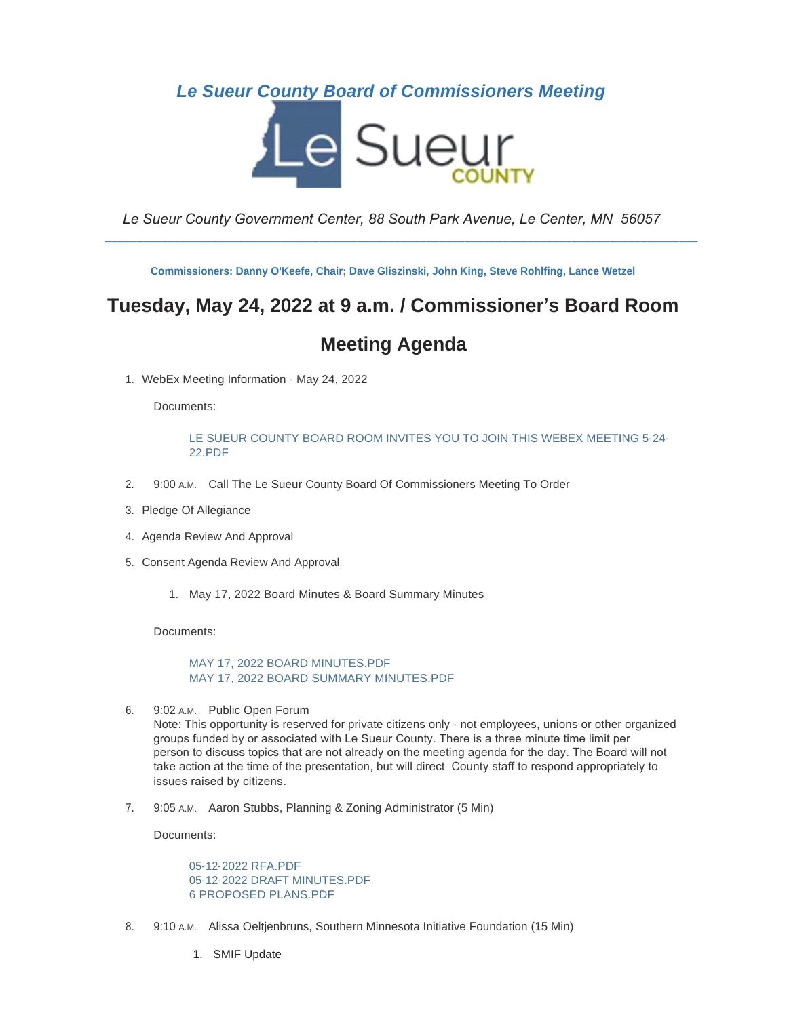## *Le Sueur County Board of Commissioners Meeting*



*Le Sueur County Government Center, 88 South Park Avenue, Le Center, MN 56057*

\_\_\_\_\_\_\_\_\_\_\_\_\_\_\_\_\_\_\_\_\_\_\_\_\_\_\_\_\_\_\_\_\_\_\_\_\_\_\_\_\_\_\_\_\_\_\_\_\_\_\_\_\_\_\_\_\_\_\_\_\_\_\_\_\_\_\_\_\_\_\_\_\_\_\_\_\_\_\_\_\_\_\_\_\_\_\_\_\_\_\_\_\_\_

**Commissioners: Danny O'Keefe, Chair; Dave Gliszinski, John King, Steve Rohlfing, Lance Wetzel**

# **Tuesday, May 24, 2022 at 9 a.m. / Commissioner's Board Room**

## **Meeting Agenda**

1. WebEx Meeting Information - May 24, 2022

Documents:

[LE SUEUR COUNTY BOARD ROOM INVITES YOU TO JOIN THIS WEBEX MEETING 5-24-](https://www.co.le-sueur.mn.us/AgendaCenter/ViewFile/Item/3241?fileID=3661) 22.PDF

- 2. 9:00 A.M. Call The Le Sueur County Board Of Commissioners Meeting To Order
- 3. Pledge Of Allegiance
- 4. Agenda Review And Approval
- 5. Consent Agenda Review And Approval
	- 1. May 17, 2022 Board Minutes & Board Summary Minutes

Documents:

[MAY 17, 2022 BOARD MINUTES.PDF](https://www.co.le-sueur.mn.us/AgendaCenter/ViewFile/Item/3223?fileID=4336) [MAY 17, 2022 BOARD SUMMARY MINUTES.PDF](https://www.co.le-sueur.mn.us/AgendaCenter/ViewFile/Item/3223?fileID=4337)

6. 9:02 A.M. Public Open Forum

Note: This opportunity is reserved for private citizens only - not employees, unions or other organized groups funded by or associated with Le Sueur County. There is a three minute time limit per person to discuss topics that are not already on the meeting agenda for the day. The Board will not take action at the time of the presentation, but will direct County staff to respond appropriately to issues raised by citizens.

7. 9:05 A.M. Aaron Stubbs, Planning & Zoning Administrator (5 Min)

Documents:

[05-12-2022 RFA.PDF](https://www.co.le-sueur.mn.us/AgendaCenter/ViewFile/Item/3269?fileID=4333) [05-12-2022 DRAFT MINUTES.PDF](https://www.co.le-sueur.mn.us/AgendaCenter/ViewFile/Item/3269?fileID=4334) [6 PROPOSED PLANS.PDF](https://www.co.le-sueur.mn.us/AgendaCenter/ViewFile/Item/3269?fileID=4335)

- 8. 9:10 A.M. Alissa Oeltjenbruns, Southern Minnesota Initiative Foundation (15 Min)
	- 1. SMIF Update